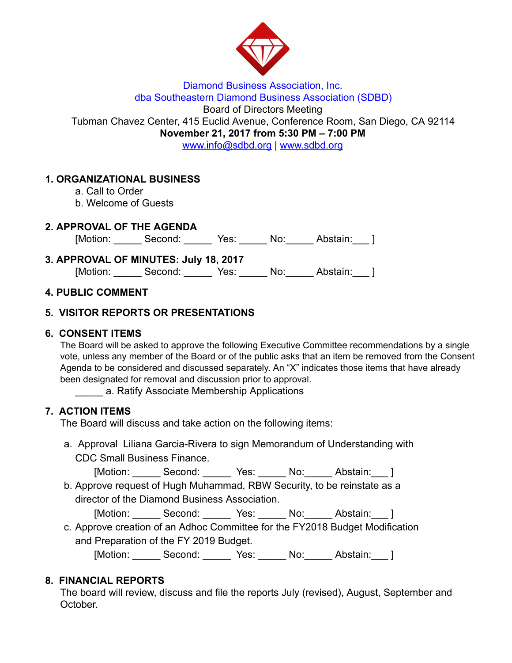

#### Diamond Business Association, Inc. dba Southeastern Diamond Business Association (SDBD)

Board of Directors Meeting

Tubman Chavez Center, 415 Euclid Avenue, Conference Room, San Diego, CA 92114

November 21, 2017 from 5:30 PM – 7:00 PM

www.info@sdbd.org | [www.sdbd.org](http://www.sdbd.org/)

# 1. ORGANIZATIONAL BUSINESS

- a. Call to Order
- b. Welcome of Guests

### 2. APPROVAL OF THE AGENDA

[Motion: \_\_\_\_\_\_ Second: \_\_\_\_\_\_ Yes: \_\_\_\_\_ No: \_\_\_\_\_ Abstain: \_\_\_ ]

| 3. APPROVAL OF MINUTES: July 18, 2017 |              |  |     |          |  |
|---------------------------------------|--------------|--|-----|----------|--|
| [Motion:                              | Second: Yes: |  | No: | Abstain: |  |

### 4. PUBLIC COMMENT

# 5. VISITOR REPORTS OR PRESENTATIONS

### 6. CONSENT ITEMS

The Board will be asked to approve the following Executive Committee recommendations by a single vote, unless any member of the Board or of the public asks that an item be removed from the Consent Agenda to be considered and discussed separately. An "X" indicates those items that have already been designated for removal and discussion prior to approval.

\_\_\_\_\_ a. Ratify Associate Membership Applications

# 7. ACTION ITEMS

The Board will discuss and take action on the following items:

a. Approval Liliana Garcia-Rivera to sign Memorandum of Understanding with CDC Small Business Finance.

[Motion: \_\_\_\_\_\_ Second: \_\_\_\_\_\_ Yes: \_\_\_\_\_ No: \_\_\_\_\_ Abstain: \_\_\_ ]

b. Approve request of Hugh Muhammad, RBW Security, to be reinstate as a director of the Diamond Business Association.

[Motion: Second: Yes: No: Abstain: ]

c. Approve creation of an Adhoc Committee for the FY2018 Budget Modification and Preparation of the FY 2019 Budget.

[Motion: \_\_\_\_\_\_ Second: \_\_\_\_\_\_ Yes: \_\_\_\_\_ No: \_\_\_\_\_ Abstain: \_\_\_ ]

# 8. FINANCIAL REPORTS

The board will review, discuss and file the reports July (revised), August, September and October.